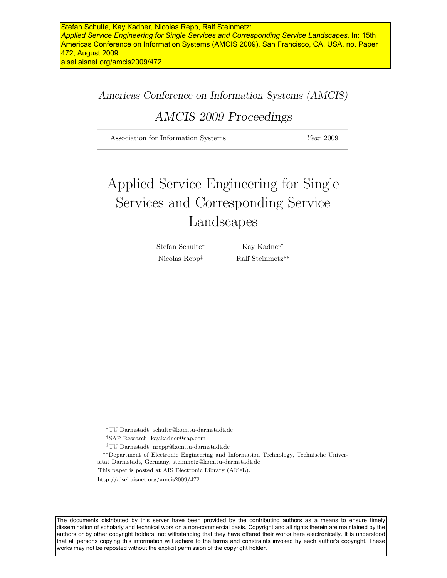### Americas Conference on Information Systems (AMCIS)

## AMCIS 2009 Proceedings

Association for Information Systems  $Year\ 2009$ 

# Applied Service Engineering for Single Services and Corresponding Service Landscapes

Stefan Schulte<sup>∗</sup> Kay Kadner†

Nicolas Repp<sup>‡</sup> Ralf Steinmetz<sup>\*\*</sup>

<sup>∗</sup>TU Darmstadt, schulte@kom.tu-darmstadt.de

- †SAP Research, kay.kadner@sap.com
- ‡TU Darmstadt, nrepp@kom.tu-darmstadt.de
- ∗∗Department of Electronic Engineering and Information Technology, Technische Universität Darmstadt, Germany, steinmetz@kom.tu-darmstadt.de

This paper is posted at AIS Electronic Library (AISeL).

http://aisel.aisnet.org/amcis2009/472

The documents distributed by this server have been provided by the contributing authors as a means to ensure timely dissemination of scholarly and technical work on a non-commercial basis. Copyright and all rights therein are maintained by the authors or by other copyright holders, not withstanding that they have offered their works here electronically. It is understood that all persons copying this information will adhere to the terms and constraints invoked by each author's copyright. These works may not be reposted without the explicit permission of the copyright holder.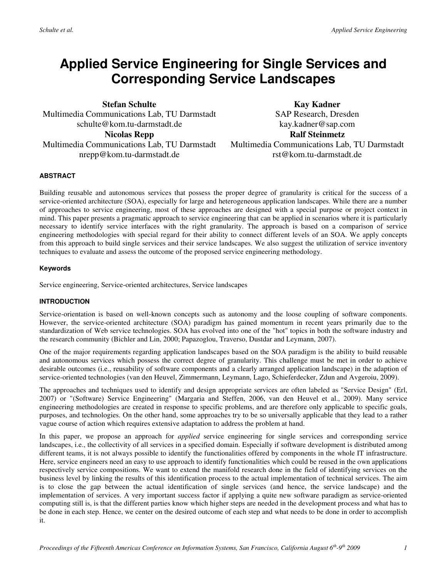## **Applied Service Engineering for Single Services and Corresponding Service Landscapes**

**Stefan Schulte**  Multimedia Communications Lab, TU Darmstadt schulte@kom.tu-darmstadt.de **Nicolas Repp**  Multimedia Communications Lab, TU Darmstadt nrepp@kom.tu-darmstadt.de

**Kay Kadner**  SAP Research, Dresden kay.kadner@sap.com **Ralf Steinmetz**  Multimedia Communications Lab, TU Darmstadt rst@kom.tu-darmstadt.de

#### **ABSTRACT**

Building reusable and autonomous services that possess the proper degree of granularity is critical for the success of a service-oriented architecture (SOA), especially for large and heterogeneous application landscapes. While there are a number of approaches to service engineering, most of these approaches are designed with a special purpose or project context in mind. This paper presents a pragmatic approach to service engineering that can be applied in scenarios where it is particularly necessary to identify service interfaces with the right granularity. The approach is based on a comparison of service engineering methodologies with special regard for their ability to connect different levels of an SOA. We apply concepts from this approach to build single services and their service landscapes. We also suggest the utilization of service inventory techniques to evaluate and assess the outcome of the proposed service engineering methodology.

#### **Keywords**

Service engineering, Service-oriented architectures, Service landscapes

#### **INTRODUCTION**

Service-orientation is based on well-known concepts such as autonomy and the loose coupling of software components. However, the service-oriented architecture (SOA) paradigm has gained momentum in recent years primarily due to the standardization of Web service technologies. SOA has evolved into one of the "hot" topics in both the software industry and the research community (Bichler and Lin, 2000; Papazoglou, Traverso, Dustdar and Leymann, 2007).

One of the major requirements regarding application landscapes based on the SOA paradigm is the ability to build reusable and autonomous services which possess the correct degree of granularity. This challenge must be met in order to achieve desirable outcomes (i.e., reusability of software components and a clearly arranged application landscape) in the adaption of service-oriented technologies (van den Heuvel, Zimmermann, Leymann, Lago, Schieferdecker, Zdun and Avgeroiu, 2009).

The approaches and techniques used to identify and design appropriate services are often labeled as "Service Design" (Erl, 2007) or "(Software) Service Engineering" (Margaria and Steffen, 2006, van den Heuvel et al., 2009). Many service engineering methodologies are created in response to specific problems, and are therefore only applicable to specific goals, purposes, and technologies. On the other hand, some approaches try to be so universally applicable that they lead to a rather vague course of action which requires extensive adaptation to address the problem at hand.

In this paper, we propose an approach for *applied* service engineering for single services and corresponding service landscapes, i.e., the collectivity of all services in a specified domain. Especially if software development is distributed among different teams, it is not always possible to identify the functionalities offered by components in the whole IT infrastructure. Here, service engineers need an easy to use approach to identify functionalities which could be reused in the own applications respectively service compositions. We want to extend the manifold research done in the field of identifying services on the business level by linking the results of this identification process to the actual implementation of technical services. The aim is to close the gap between the actual identification of single services (and hence, the service landscape) and the implementation of services. A very important success factor if applying a quite new software paradigm as service-oriented computing still is, is that the different parties know which higher steps are needed in the development process and what has to be done in each step. Hence, we center on the desired outcome of each step and what needs to be done in order to accomplish it.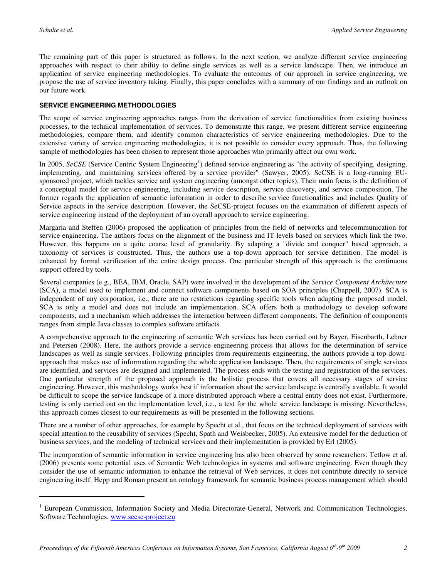$\overline{a}$ 

The remaining part of this paper is structured as follows. In the next section, we analyze different service engineering approaches with respect to their ability to define single services as well as a service landscape. Then, we introduce an application of service engineering methodologies. To evaluate the outcomes of our approach in service engineering, we propose the use of service inventory taking. Finally, this paper concludes with a summary of our findings and an outlook on our future work.

#### **SERVICE ENGINEERING METHODOLOGIES**

The scope of service engineering approaches ranges from the derivation of service functionalities from existing business processes, to the technical implementation of services. To demonstrate this range, we present different service engineering methodologies, compare them, and identify common characteristics of service engineering methodologies. Due to the extensive variety of service engineering methodologies, it is not possible to consider every approach. Thus, the following sample of methodologies has been chosen to represent those approaches who primarily affect our own work.

In 2005, SeCSE (Service Centric System Engineering<sup>1</sup>) defined service engineering as "the activity of specifying, designing, implementing, and maintaining services offered by a service provider" (Sawyer, 2005). SeCSE is a long-running EUsponsored project, which tackles service and system engineering (amongst other topics). Their main focus is the definition of a conceptual model for service engineering, including service description, service discovery, and service composition. The former regards the application of semantic information in order to describe service functionalities and includes Quality of Service aspects in the service description. However, the SeCSE-project focuses on the examination of different aspects of service engineering instead of the deployment of an overall approach to service engineering.

Margaria and Steffen (2006) proposed the application of principles from the field of networks and telecommunication for service engineering. The authors focus on the alignment of the business and IT levels based on services which link the two. However, this happens on a quite coarse level of granularity. By adapting a "divide and conquer" based approach, a taxonomy of services is constructed. Thus, the authors use a top-down approach for service definition. The model is enhanced by formal verification of the entire design process. One particular strength of this approach is the continuous support offered by tools.

Several companies (e.g., BEA, IBM, Oracle, SAP) were involved in the development of the *Service Component Architecture* (SCA), a model used to implement and connect software components based on SOA principles (Chappell, 2007). SCA is independent of any corporation, i.e., there are no restrictions regarding specific tools when adapting the proposed model. SCA is only a model and does not include an implementation. SCA offers both a methodology to develop software components, and a mechanism which addresses the interaction between different components. The definition of components ranges from simple Java classes to complex software artifacts.

A comprehensive approach to the engineering of semantic Web services has been carried out by Bayer, Eisenbarth, Lehner and Petersen (2008). Here, the authors provide a service engineering process that allows for the determination of service landscapes as well as single services. Following principles from requirements engineering, the authors provide a top-downapproach that makes use of information regarding the whole application landscape. Then, the requirements of single services are identified, and services are designed and implemented. The process ends with the testing and registration of the services. One particular strength of the proposed approach is the holistic process that covers all necessary stages of service engineering. However, this methodology works best if information about the service landscape is centrally available. It would be difficult to scope the service landscape of a more distributed approach where a central entity does not exist. Furthermore, testing is only carried out on the implementation level, i.e., a test for the whole service landscape is missing. Nevertheless, this approach comes closest to our requirements as will be presented in the following sections.

There are a number of other approaches, for example by Specht et al., that focus on the technical deployment of services with special attention to the reusability of services (Specht, Spath and Weisbecker, 2005). An extensive model for the deduction of business services, and the modeling of technical services and their implementation is provided by Erl (2005).

The incorporation of semantic information in service engineering has also been observed by some researchers. Tetlow et al. (2006) presents some potential uses of Semantic Web technologies in systems and software engineering. Even though they consider the use of semantic information to enhance the retrieval of Web services, it does not contribute directly to service engineering itself. Hepp and Roman present an ontology framework for semantic business process management which should

<sup>&</sup>lt;sup>1</sup> European Commission, Information Society and Media Directorate-General, Network and Communication Technologies, Software Technologies. www.secse-project.eu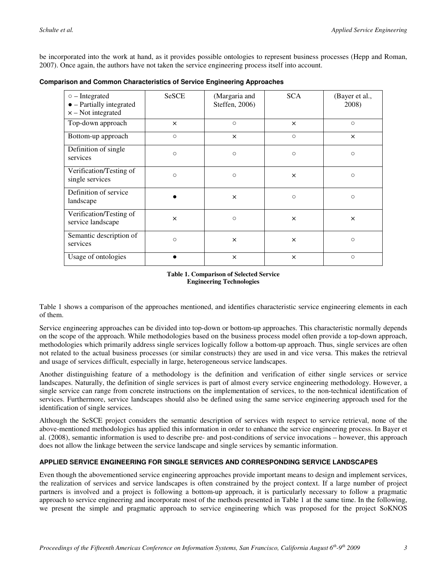be incorporated into the work at hand, as it provides possible ontologies to represent business processes (Hepp and Roman, 2007). Once again, the authors have not taken the service engineering process itself into account.

| <b>Comparison and Common Characteristics of Service Engineering Approaches</b> |  |
|--------------------------------------------------------------------------------|--|
|--------------------------------------------------------------------------------|--|

| $\circ$ – Integrated<br>$\bullet$ - Partially integrated<br>$x - Not integrated$ | <b>SeSCE</b> | (Margaria and<br>Steffen, 2006) | <b>SCA</b> | (Bayer et al.,<br>2008) |
|----------------------------------------------------------------------------------|--------------|---------------------------------|------------|-------------------------|
| Top-down approach                                                                | $\times$     | $\circ$                         | $\times$   | $\circ$                 |
| Bottom-up approach                                                               | $\circ$      | $\times$                        | $\circ$    | $\times$                |
| Definition of single<br>services                                                 | $\circ$      | $\circ$                         | $\circ$    | $\circ$                 |
| Verification/Testing of<br>single services                                       | $\circ$      | $\circ$                         | ×          | $\circ$                 |
| Definition of service<br>landscape                                               |              | ×                               | $\circ$    | $\circ$                 |
| Verification/Testing of<br>service landscape                                     | $\times$     | $\circ$                         | $\times$   | $\times$                |
| Semantic description of<br>services                                              | $\circ$      | ×                               | ×          | $\circ$                 |
| Usage of ontologies                                                              |              | ×                               | $\times$   | $\circ$                 |

#### **Table 1. Comparison of Selected Service Engineering Technologies**

Table 1 shows a comparison of the approaches mentioned, and identifies characteristic service engineering elements in each of them.

Service engineering approaches can be divided into top-down or bottom-up approaches. This characteristic normally depends on the scope of the approach. While methodologies based on the business process model often provide a top-down approach, methodologies which primarily address single services logically follow a bottom-up approach. Thus, single services are often not related to the actual business processes (or similar constructs) they are used in and vice versa. This makes the retrieval and usage of services difficult, especially in large, heterogeneous service landscapes.

Another distinguishing feature of a methodology is the definition and verification of either single services or service landscapes. Naturally, the definition of single services is part of almost every service engineering methodology. However, a single service can range from concrete instructions on the implementation of services, to the non-technical identification of services. Furthermore, service landscapes should also be defined using the same service engineering approach used for the identification of single services.

Although the SeSCE project considers the semantic description of services with respect to service retrieval, none of the above-mentioned methodologies has applied this information in order to enhance the service engineering process. In Bayer et al. (2008), semantic information is used to describe pre- and post-conditions of service invocations – however, this approach does not allow the linkage between the service landscape and single services by semantic information.

#### **APPLIED SERVICE ENGINEERING FOR SINGLE SERVICES AND CORRESPONDING SERVICE LANDSCAPES**

Even though the abovementioned service engineering approaches provide important means to design and implement services, the realization of services and service landscapes is often constrained by the project context. If a large number of project partners is involved and a project is following a bottom-up approach, it is particularly necessary to follow a pragmatic approach to service engineering and incorporate most of the methods presented in Table 1 at the same time. In the following, we present the simple and pragmatic approach to service engineering which was proposed for the project SoKNOS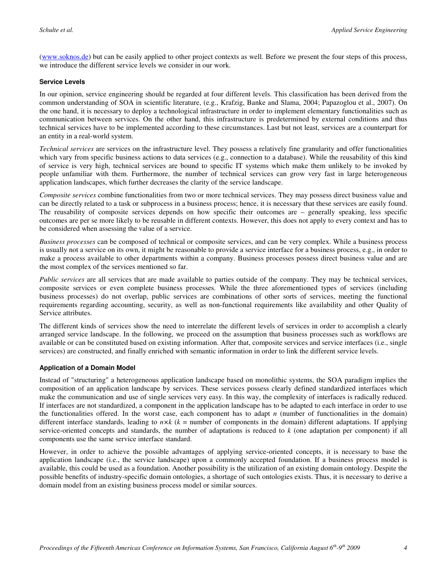[\(www.soknos.de\)](http://www.soknos.de/) but can be easily applied to other project contexts as well. Before we present the four steps of this process, we introduce the different service levels we consider in our work.

#### **Service Levels**

In our opinion, service engineering should be regarded at four different levels. This classification has been derived from the common understanding of SOA in scientific literature, (e.g., Krafzig, Banke and Slama, 2004; Papazoglou et al., 2007). On the one hand, it is necessary to deploy a technological infrastructure in order to implement elementary functionalities such as communication between services. On the other hand, this infrastructure is predetermined by external conditions and thus technical services have to be implemented according to these circumstances. Last but not least, services are a counterpart for an entity in a real-world system.

*Technical services* are services on the infrastructure level. They possess a relatively fine granularity and offer functionalities which vary from specific business actions to data services (e.g., connection to a database). While the reusability of this kind of service is very high, technical services are bound to specific IT systems which make them unlikely to be invoked by people unfamiliar with them. Furthermore, the number of technical services can grow very fast in large heterogeneous application landscapes, which further decreases the clarity of the service landscape.

*Composite services* combine functionalities from two or more technical services. They may possess direct business value and can be directly related to a task or subprocess in a business process; hence, it is necessary that these services are easily found. The reusability of composite services depends on how specific their outcomes are – generally speaking, less specific outcomes are per se more likely to be reusable in different contexts. However, this does not apply to every context and has to be considered when assessing the value of a service.

*Business processes* can be composed of technical or composite services, and can be very complex. While a business process is usually not a service on its own, it might be reasonable to provide a service interface for a business process, e.g., in order to make a process available to other departments within a company. Business processes possess direct business value and are the most complex of the services mentioned so far.

*Public services* are all services that are made available to parties outside of the company. They may be technical services, composite services or even complete business processes. While the three aforementioned types of services (including business processes) do not overlap, public services are combinations of other sorts of services, meeting the functional requirements regarding accounting, security, as well as non-functional requirements like availability and other Quality of Service attributes.

The different kinds of services show the need to interrelate the different levels of services in order to accomplish a clearly arranged service landscape. In the following, we proceed on the assumption that business processes such as workflows are available or can be constituted based on existing information. After that, composite services and service interfaces (i.e., single services) are constructed, and finally enriched with semantic information in order to link the different service levels.

#### **Application of a Domain Model**

Instead of "structuring" a heterogeneous application landscape based on monolithic systems, the SOA paradigm implies the composition of an application landscape by services. These services possess clearly defined standardized interfaces which make the communication and use of single services very easy. In this way, the complexity of interfaces is radically reduced. If interfaces are not standardized, a component in the application landscape has to be adapted to each interface in order to use the functionalities offered. In the worst case, each component has to adapt *n* (number of functionalities in the domain) different interface standards, leading to  $n \times k$  ( $k =$  number of components in the domain) different adaptations. If applying service-oriented concepts and standards, the number of adaptations is reduced to *k* (one adaptation per component) if all components use the same service interface standard.

However, in order to achieve the possible advantages of applying service-oriented concepts, it is necessary to base the application landscape (i.e., the service landscape) upon a commonly accepted foundation. If a business process model is available, this could be used as a foundation. Another possibility is the utilization of an existing domain ontology. Despite the possible benefits of industry-specific domain ontologies, a shortage of such ontologies exists. Thus, it is necessary to derive a domain model from an existing business process model or similar sources.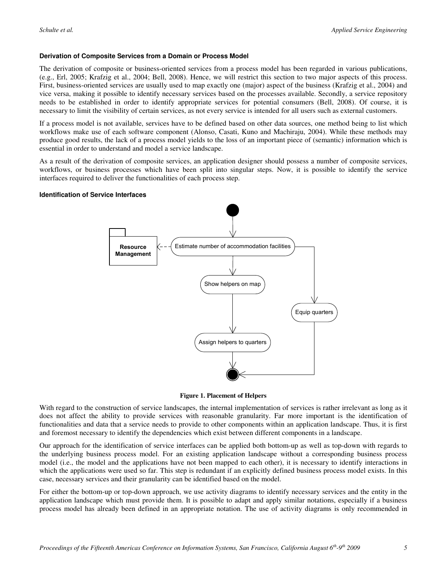#### **Derivation of Composite Services from a Domain or Process Model**

The derivation of composite or business-oriented services from a process model has been regarded in various publications, (e.g., Erl, 2005; Krafzig et al., 2004; Bell, 2008). Hence, we will restrict this section to two major aspects of this process. First, business-oriented services are usually used to map exactly one (major) aspect of the business (Krafzig et al., 2004) and vice versa, making it possible to identify necessary services based on the processes available. Secondly, a service repository needs to be established in order to identify appropriate services for potential consumers (Bell, 2008). Of course, it is necessary to limit the visibility of certain services, as not every service is intended for all users such as external customers.

If a process model is not available, services have to be defined based on other data sources, one method being to list which workflows make use of each software component (Alonso, Casati, Kuno and Machiraju, 2004). While these methods may produce good results, the lack of a process model yields to the loss of an important piece of (semantic) information which is essential in order to understand and model a service landscape.

As a result of the derivation of composite services, an application designer should possess a number of composite services, workflows, or business processes which have been split into singular steps. Now, it is possible to identify the service interfaces required to deliver the functionalities of each process step.

#### **Identification of Service Interfaces**



**Figure 1. Placement of Helpers** 

With regard to the construction of service landscapes, the internal implementation of services is rather irrelevant as long as it does not affect the ability to provide services with reasonable granularity. Far more important is the identification of functionalities and data that a service needs to provide to other components within an application landscape. Thus, it is first and foremost necessary to identify the dependencies which exist between different components in a landscape.

Our approach for the identification of service interfaces can be applied both bottom-up as well as top-down with regards to the underlying business process model. For an existing application landscape without a corresponding business process model (i.e., the model and the applications have not been mapped to each other), it is necessary to identify interactions in which the applications were used so far. This step is redundant if an explicitly defined business process model exists. In this case, necessary services and their granularity can be identified based on the model.

For either the bottom-up or top-down approach, we use activity diagrams to identify necessary services and the entity in the application landscape which must provide them. It is possible to adapt and apply similar notations, especially if a business process model has already been defined in an appropriate notation. The use of activity diagrams is only recommended in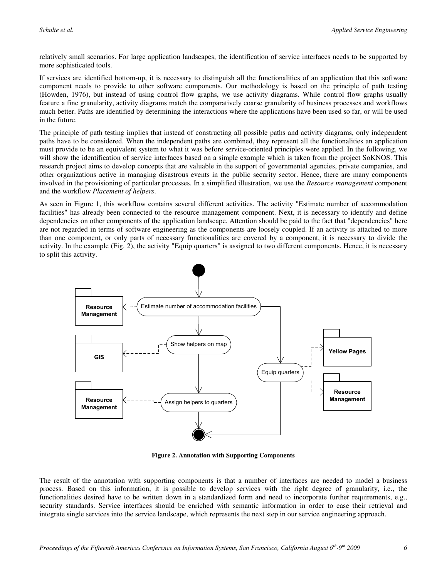relatively small scenarios. For large application landscapes, the identification of service interfaces needs to be supported by more sophisticated tools.

If services are identified bottom-up, it is necessary to distinguish all the functionalities of an application that this software component needs to provide to other software components. Our methodology is based on the principle of path testing (Howden, 1976), but instead of using control flow graphs, we use activity diagrams. While control flow graphs usually feature a fine granularity, activity diagrams match the comparatively coarse granularity of business processes and workflows much better. Paths are identified by determining the interactions where the applications have been used so far, or will be used in the future.

The principle of path testing implies that instead of constructing all possible paths and activity diagrams, only independent paths have to be considered. When the independent paths are combined, they represent all the functionalities an application must provide to be an equivalent system to what it was before service-oriented principles were applied. In the following, we will show the identification of service interfaces based on a simple example which is taken from the project SoKNOS. This research project aims to develop concepts that are valuable in the support of governmental agencies, private companies, and other organizations active in managing disastrous events in the public security sector. Hence, there are many components involved in the provisioning of particular processes. In a simplified illustration, we use the *Resource management* component and the workflow *Placement of helpers*.

As seen in Figure 1, this workflow contains several different activities. The activity "Estimate number of accommodation facilities" has already been connected to the resource management component. Next, it is necessary to identify and define dependencies on other components of the application landscape. Attention should be paid to the fact that "dependencies" here are not regarded in terms of software engineering as the components are loosely coupled. If an activity is attached to more than one component, or only parts of necessary functionalities are covered by a component, it is necessary to divide the activity. In the example (Fig. 2), the activity "Equip quarters" is assigned to two different components. Hence, it is necessary to split this activity.



**Figure 2. Annotation with Supporting Components** 

The result of the annotation with supporting components is that a number of interfaces are needed to model a business process. Based on this information, it is possible to develop services with the right degree of granularity, i.e., the functionalities desired have to be written down in a standardized form and need to incorporate further requirements, e.g., security standards. Service interfaces should be enriched with semantic information in order to ease their retrieval and integrate single services into the service landscape, which represents the next step in our service engineering approach.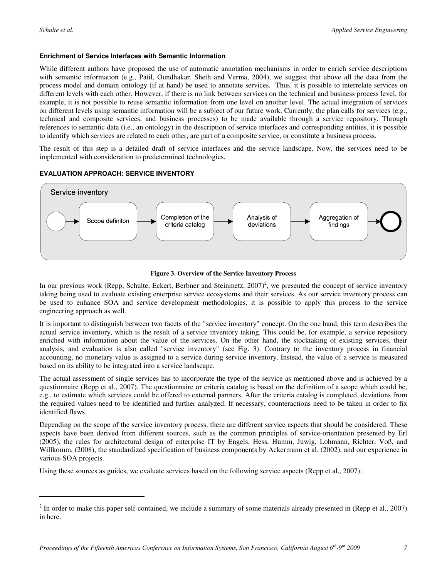$\overline{a}$ 

#### **Enrichment of Service Interfaces with Semantic Information**

While different authors have proposed the use of automatic annotation mechanisms in order to enrich service descriptions with semantic information (e.g., Patil, Oundhakar, Sheth and Verma, 2004), we suggest that above all the data from the process model and domain ontology (if at hand) be used to annotate services. Thus, it is possible to interrelate services on different levels with each other. However, if there is no link between services on the technical and business process level, for example, it is not possible to reuse semantic information from one level on another level. The actual integration of services on different levels using semantic information will be a subject of our future work. Currently, the plan calls for services (e.g., technical and composite services, and business processes) to be made available through a service repository. Through references to semantic data (i.e., an ontology) in the description of service interfaces and corresponding entities, it is possible to identify which services are related to each other, are part of a composite service, or constitute a business process.

The result of this step is a detailed draft of service interfaces and the service landscape. Now, the services need to be implemented with consideration to predetermined technologies.

#### **EVALUATION APPROACH: SERVICE INVENTORY**



#### **Figure 3. Overview of the Service Inventory Process**

In our previous work (Repp, Schulte, Eckert, Berbner and Steinmetz,  $2007)^2$ , we presented the concept of service inventory taking being used to evaluate existing enterprise service ecosystems and their services. As our service inventory process can be used to enhance SOA and service development methodologies, it is possible to apply this process to the service engineering approach as well.

It is important to distinguish between two facets of the "service inventory" concept. On the one hand, this term describes the actual service inventory, which is the result of a service inventory taking. This could be, for example, a service repository enriched with information about the value of the services. On the other hand, the stocktaking of existing services, their analysis, and evaluation is also called "service inventory" (see Fig. 3). Contrary to the inventory process in financial accounting, no monetary value is assigned to a service during service inventory. Instead, the value of a service is measured based on its ability to be integrated into a service landscape.

The actual assessment of single services has to incorporate the type of the service as mentioned above and is achieved by a questionnaire (Repp et al., 2007). The questionnaire or criteria catalog is based on the definition of a scope which could be, e.g., to estimate which services could be offered to external partners. After the criteria catalog is completed, deviations from the required values need to be identified and further analyzed. If necessary, counteractions need to be taken in order to fix identified flaws.

Depending on the scope of the service inventory process, there are different service aspects that should be considered. These aspects have been derived from different sources, such as the common principles of service-orientation presented by Erl (2005), the rules for architectural design of enterprise IT by Engels, Hess, Humm, Juwig, Lohmann, Richter, Voß, and Willkomm, (2008), the standardized specification of business components by Ackermann et al. (2002), and our experience in various SOA projects.

Using these sources as guides, we evaluate services based on the following service aspects (Repp et al., 2007):

 $2^{2}$  In order to make this paper self-contained, we include a summary of some materials already presented in (Repp et al., 2007) in here.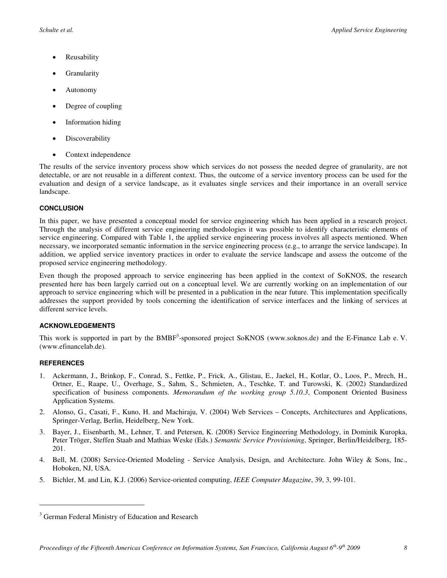- **Reusability**
- **Granularity**
- Autonomy
- Degree of coupling
- Information hiding
- **Discoverability**
- Context independence

The results of the service inventory process show which services do not possess the needed degree of granularity, are not detectable, or are not reusable in a different context. Thus, the outcome of a service inventory process can be used for the evaluation and design of a service landscape, as it evaluates single services and their importance in an overall service landscape.

#### **CONCLUSION**

In this paper, we have presented a conceptual model for service engineering which has been applied in a research project. Through the analysis of different service engineering methodologies it was possible to identify characteristic elements of service engineering. Compared with Table 1, the applied service engineering process involves all aspects mentioned. When necessary, we incorporated semantic information in the service engineering process (e.g., to arrange the service landscape). In addition, we applied service inventory practices in order to evaluate the service landscape and assess the outcome of the proposed service engineering methodology.

Even though the proposed approach to service engineering has been applied in the context of SoKNOS, the research presented here has been largely carried out on a conceptual level. We are currently working on an implementation of our approach to service engineering which will be presented in a publication in the near future. This implementation specifically addresses the support provided by tools concerning the identification of service interfaces and the linking of services at different service levels.

#### **ACKNOWLEDGEMENTS**

This work is supported in part by the  $BMBF<sup>3</sup>$ -sponsored project SoKNOS (www.soknos.de) and the E-Finance Lab e. V. (www.efinancelab.de).

#### **REFERENCES**

 $\overline{a}$ 

- 1. Ackermann, J., Brinkop, F., Conrad, S., Fettke, P., Frick, A., Glistau, E., Jaekel, H., Kotlar, O., Loos, P., Mrech, H., Ortner, E., Raape, U., Overhage, S., Sahm, S., Schmieten, A., Teschke, T. and Turowski, K. (2002) Standardized specification of business components. *Memorandum of the working group 5.10.3*, Component Oriented Business Application Systems.
- 2. Alonso, G., Casati, F., Kuno, H. and Machiraju, V. (2004) Web Services Concepts, Architectures and Applications, Springer-Verlag, Berlin, Heidelberg, New York.
- 3. Bayer, J., Eisenbarth, M., Lehner, T. and Petersen, K. (2008) Service Engineering Methodology, in Dominik Kuropka, Peter Tröger, Steffen Staab and Mathias Weske (Eds.) *Semantic Service Provisioning*, Springer, Berlin/Heidelberg, 185- 201.
- 4. Bell, M. (2008) Service-Oriented Modeling Service Analysis, Design, and Architecture. John Wiley & Sons, Inc., Hoboken, NJ, USA.
- 5. Bichler, M. and Lin, K.J. (2006) Service-oriented computing, *IEEE Computer Magazine*, 39, 3, 99-101.

<sup>&</sup>lt;sup>3</sup> German Federal Ministry of Education and Research